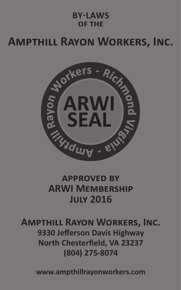#### **BY-LAWS of the**

# **Ampthill Rayon Workers, Inc.**



#### **approved by ARWI Membership July 2016**

#### **Ampthill Rayon Workers, Inc. 9330 Jefferson Davis Highway North Chesterfield, VA 23237 (804) 275-8074**

**www.ampthillrayonworkers.com**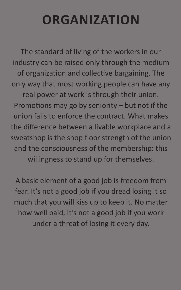# **ORGANIZATION**

The standard of living of the workers in our industry can be raised only through the medium of organization and collective bargaining. The only way that most working people can have any real power at work is through their union. Promotions may go by seniority – but not if the union fails to enforce the contract. What makes the difference between a livable workplace and a sweatshop is the shop floor strength of the union and the consciousness of the membership: this willingness to stand up for themselves.

A basic element of a good job is freedom from fear. It's not a good job if you dread losing it so much that you will kiss up to keep it. No matter how well paid, it's not a good job if you work under a threat of losing it every day.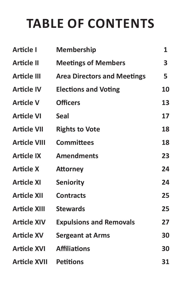# **TABLE OF CONTENTS**

| Article I           | <b>Membership</b>                  | 1  |
|---------------------|------------------------------------|----|
| <b>Article II</b>   | <b>Meetings of Members</b>         | 3  |
| <b>Article III</b>  | <b>Area Directors and Meetings</b> | 5  |
| <b>Article IV</b>   | <b>Elections and Voting</b>        | 10 |
| <b>Article V</b>    | <b>Officers</b>                    | 13 |
| <b>Article VI</b>   | <b>Seal</b>                        | 17 |
| <b>Article VII</b>  | <b>Rights to Vote</b>              | 18 |
| <b>Article VIII</b> | <b>Committees</b>                  | 18 |
| <b>Article IX</b>   | <b>Amendments</b>                  | 23 |
| <b>Article X</b>    | <b>Attorney</b>                    | 24 |
| <b>Article XI</b>   | <b>Seniority</b>                   | 24 |
| <b>Article XII</b>  | <b>Contracts</b>                   | 25 |
| <b>Article XIII</b> | <b>Stewards</b>                    | 25 |
| <b>Article XIV</b>  | <b>Expulsions and Removals</b>     | 27 |
| <b>Article XV</b>   | <b>Sergeant at Arms</b>            | 30 |
| Article XVI         | <b>Affiliations</b>                | 30 |
| Article XVII        | <b>Petitions</b>                   | 31 |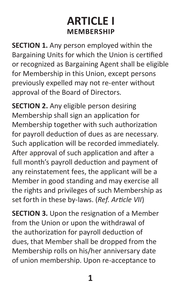# **ARTICLE I MEMBERSHIP**

**SECTION 1.** Any person employed within the Bargaining Units for which the Union is certified or recognized as Bargaining Agent shall be eligible for Membership in this Union, except persons previously expelled may not re-enter without approval of the Board of Directors.

**SECTION 2.** Any eligible person desiring Membership shall sign an application for Membership together with such authorization for payroll deduction of dues as are necessary. Such application will be recorded immediately. After approval of such application and after a full month's payroll deduction and payment of any reinstatement fees, the applicant will be a Member in good standing and may exercise all the rights and privileges of such Membership as set forth in these by-laws. (*Ref. Article VII*)

**SECTION 3.** Upon the resignation of a Member from the Union or upon the withdrawal of the authorization for payroll deduction of dues, that Member shall be dropped from the Membership rolls on his/her anniversary date of union membership. Upon re-acceptance to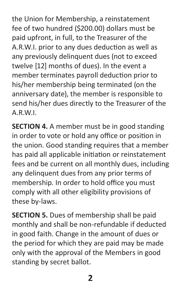the Union for Membership, a reinstatement fee of two hundred (\$200.00) dollars must be paid upfront, in full, to the Treasurer of the A.R.W.I. prior to any dues deduction as well as any previously delinquent dues (not to exceed twelve [12] months of dues). In the event a member terminates payroll deduction prior to his/her membership being terminated (on the anniversary date), the member is responsible to send his/her dues directly to the Treasurer of the A.R.W.I.

**SECTION 4.** A member must be in good standing in order to vote or hold any office or position in the union. Good standing requires that a member has paid all applicable initiation or reinstatement fees and be current on all monthly dues, including any delinquent dues from any prior terms of membership. In order to hold office you must comply with all other eligibility provisions of these by-laws.

**SECTION 5.** Dues of membership shall be paid monthly and shall be non-refundable if deducted in good faith. Change in the amount of dues or the period for which they are paid may be made only with the approval of the Members in good standing by secret ballot.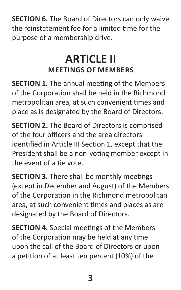**SECTION 6.** The Board of Directors can only waive the reinstatement fee for a limited time for the purpose of a membership drive.

# **ARTICLE II MEETINGS OF MEMBERS**

**SECTION 1.** The annual meeting of the Members of the Corporation shall be held in the Richmond metropolitan area, at such convenient times and place as is designated by the Board of Directors.

**SECTION 2.** The Board of Directors is comprised of the four officers and the area directors identified in Article III Section 1, except that the President shall be a non-voting member except in the event of a tie vote.

**SECTION 3.** There shall be monthly meetings (except in December and August) of the Members of the Corporation in the Richmond metropolitan area, at such convenient times and places as are designated by the Board of Directors.

**SECTION 4.** Special meetings of the Members of the Corporation may be held at any time upon the call of the Board of Directors or upon a petition of at least ten percent (10%) of the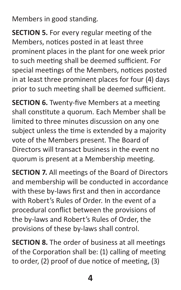Members in good standing.

**SECTION 5.** For every regular meeting of the Members, notices posted in at least three prominent places in the plant for one week prior to such meeting shall be deemed sufficient. For special meetings of the Members, notices posted in at least three prominent places for four (4) days prior to such meeting shall be deemed sufficient.

**SECTION 6.** Twenty-five Members at a meeting shall constitute a quorum. Each Member shall be limited to three minutes discussion on any one subject unless the time is extended by a majority vote of the Members present. The Board of Directors will transact business in the event no quorum is present at a Membership meeting.

**SECTION 7.** All meetings of the Board of Directors and membership will be conducted in accordance with these by-laws first and then in accordance with Robert's Rules of Order. In the event of a procedural conflict between the provisions of the by-laws and Robert's Rules of Order, the provisions of these by-laws shall control.

**SECTION 8.** The order of business at all meetings of the Corporation shall be: (1) calling of meeting to order, (2) proof of due notice of meeting, (3)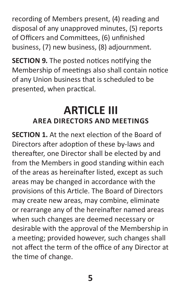recording of Members present, (4) reading and disposal of any unapproved minutes, (5) reports of Officers and Committees, (6) unfinished business, (7) new business, (8) adjournment.

**SECTION 9.** The posted notices notifying the Membership of meetings also shall contain notice of any Union business that is scheduled to be presented, when practical.

#### **ARTICLE III AREA DIRECTORS AND MEETINGS**

**SECTION 1.** At the next election of the Board of Directors after adoption of these by-laws and thereafter, one Director shall be elected by and from the Members in good standing within each of the areas as hereinafter listed, except as such areas may be changed in accordance with the provisions of this Article. The Board of Directors may create new areas, may combine, eliminate or rearrange any of the hereinafter named areas when such changes are deemed necessary or desirable with the approval of the Membership in a meeting; provided however, such changes shall not affect the term of the office of any Director at the time of change.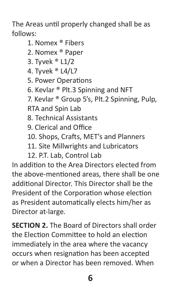The Areas until properly changed shall be as follows:

- 1. Nomex ® Fibers
- 2. Nomex ® Paper
- 3. Tyvek ® L1/2
- 4. Tyvek ® L4/L7
- 5. Power Operations
- 6. Kevlar ® Plt.3 Spinning and NFT
- 7. Kevlar ® Group 5's, Plt.2 Spinning, Pulp, RTA and Spin Lab
- 8. Technical Assistants
- 9. Clerical and Office
- 10. Shops, Crafts, MET's and Planners
- 11. Site Millwrights and Lubricators
- 12. P.T. Lab, Control Lab

In addition to the Area Directors elected from the above-mentioned areas, there shall be one additional Director. This Director shall be the President of the Corporation whose election as President automatically elects him/her as Director at-large.

**SECTION 2.** The Board of Directors shall order the Election Committee to hold an election immediately in the area where the vacancy occurs when resignation has been accepted or when a Director has been removed. When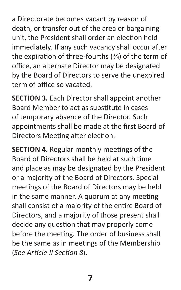a Directorate becomes vacant by reason of death, or transfer out of the area or bargaining unit, the President shall order an election held immediately. If any such vacancy shall occur after the expiration of three-fourths  $(3/4)$  of the term of office, an alternate Director may be designated by the Board of Directors to serve the unexpired term of office so vacated.

**SECTION 3.** Each Director shall appoint another Board Member to act as substitute in cases of temporary absence of the Director. Such appointments shall be made at the first Board of Directors Meeting after election.

**SECTION 4.** Regular monthly meetings of the Board of Directors shall be held at such time and place as may be designated by the President or a majority of the Board of Directors. Special meetings of the Board of Directors may be held in the same manner. A quorum at any meeting shall consist of a majority of the entire Board of Directors, and a majority of those present shall decide any question that may properly come before the meeting. The order of business shall be the same as in meetings of the Membership (*See Article II Section 8*).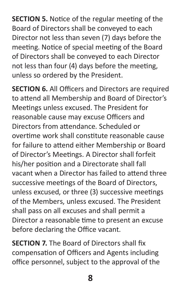**SECTION 5.** Notice of the regular meeting of the Board of Directors shall be conveyed to each Director not less than seven (7) days before the meeting. Notice of special meeting of the Board of Directors shall be conveyed to each Director not less than four (4) days before the meeting, unless so ordered by the President.

**SECTION 6.** All Officers and Directors are required to attend all Membership and Board of Director's Meetings unless excused. The President for reasonable cause may excuse Officers and Directors from attendance. Scheduled or overtime work shall constitute reasonable cause for failure to attend either Membership or Board of Director's Meetings. A Director shall forfeit his/her position and a Directorate shall fall vacant when a Director has failed to attend three successive meetings of the Board of Directors, unless excused, or three (3) successive meetings of the Members, unless excused. The President shall pass on all excuses and shall permit a Director a reasonable time to present an excuse before declaring the Office vacant.

**SECTION 7.** The Board of Directors shall fix compensation of Officers and Agents including office personnel, subject to the approval of the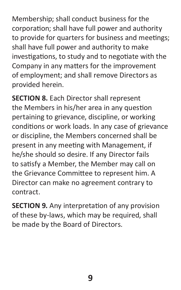Membership; shall conduct business for the corporation; shall have full power and authority to provide for quarters for business and meetings; shall have full power and authority to make investigations, to study and to negotiate with the Company in any matters for the improvement of employment; and shall remove Directors as provided herein.

**SECTION 8.** Each Director shall represent the Members in his/her area in any question pertaining to grievance, discipline, or working conditions or work loads. In any case of grievance or discipline, the Members concerned shall be present in any meeting with Management, if he/she should so desire. If any Director fails to satisfy a Member, the Member may call on the Grievance Committee to represent him. A Director can make no agreement contrary to contract.

**SECTION 9.** Any interpretation of any provision of these by-laws, which may be required, shall be made by the Board of Directors.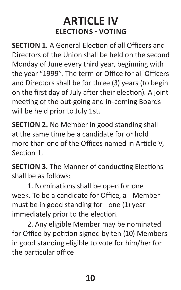## **ARTICLE IV ELECTIONS - VOTING**

**SECTION 1.** A General Election of all Officers and Directors of the Union shall be held on the second Monday of June every third year, beginning with the year "1999". The term or Office for all Officers and Directors shall be for three (3) years (to begin on the first day of July after their election). A joint meeting of the out-going and in-coming Boards will be held prior to July 1st.

**SECTION 2.** No Member in good standing shall at the same time be a candidate for or hold more than one of the Offices named in Article V, Section 1.

**SECTION 3.** The Manner of conducting Elections shall be as follows:

1. Nominations shall be open for one week. To be a candidate for Office, a Member must be in good standing for one (1) year immediately prior to the election.

2. Any eligible Member may be nominated for Office by petition signed by ten (10) Members in good standing eligible to vote for him/her for the particular office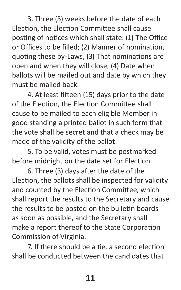3. Three (3) weeks before the date of each Election, the Election Committee shall cause posting of notices which shall state: (1) The Office or Offices to be filled; (2) Manner of nomination, quoting these by-Laws, (3) That nominations are open and when they will close; (4) Date when ballots will be mailed out and date by which they must be mailed back.

4. At least fifteen (15) days prior to the date of the Election, the Election Committee shall cause to be mailed to each eligible Member in good standing a printed ballot in such form that the vote shall be secret and that a check may be made of the validity of the ballot.

5. To be valid, votes must be postmarked before midnight on the date set for Election.

6. Three (3) days after the date of the Election, the ballots shall be inspected for validity and counted by the Election Committee, which shall report the results to the Secretary and cause the results to be posted on the bulletin boards as soon as possible, and the Secretary shall make a report thereof to the State Corporation Commission of Virginia.

7. If there should be a tie, a second election shall be conducted between the candidates that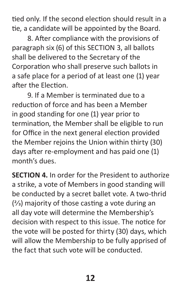tied only. If the second election should result in a tie, a candidate will be appointed by the Board.

8. After compliance with the provisions of paragraph six (6) of this SECTION 3, all ballots shall be delivered to the Secretary of the Corporation who shall preserve such ballots in a safe place for a period of at least one (1) year after the Election.

9. If a Member is terminated due to a reduction of force and has been a Member in good standing for one (1) year prior to termination, the Member shall be eligible to run for Office in the next general election provided the Member rejoins the Union within thirty (30) days after re-employment and has paid one (1) month's dues.

**SECTION 4.** In order for the President to authorize a strike, a vote of Members in good standing will be conducted by a secret ballet vote. A two-thrid  $(2/3)$  majority of those casting a vote during an all day vote will determine the Membership's decision with respect to this issue. The notice for the vote will be posted for thirty (30) days, which will allow the Membership to be fully apprised of the fact that such vote will be conducted.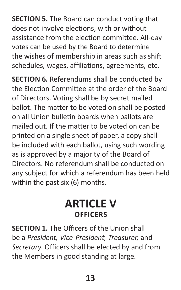**SECTION 5.** The Board can conduct voting that does not involve elections, with or without assistance from the election committee. All-day votes can be used by the Board to determine the wishes of membership in areas such as shift schedules, wages, affiliations, agreements, etc.

**SECTION 6.** Referendums shall be conducted by the Election Committee at the order of the Board of Directors. Voting shall be by secret mailed ballot. The matter to be voted on shall be posted on all Union bulletin boards when ballots are mailed out. If the matter to be voted on can be printed on a single sheet of paper, a copy shall be included with each ballot, using such wording as is approved by a majority of the Board of Directors. No referendum shall be conducted on any subject for which a referendum has been held within the past six (6) months.

## **ARTICLE V OFFICERS**

**SECTION 1.** The Officers of the Union shall be a *President, Vice-President, Treasurer,* and *Secretary*. Officers shall be elected by and from the Members in good standing at large.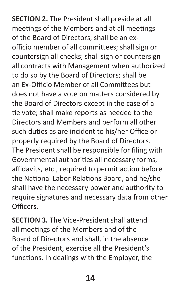**SECTION 2.** The President shall preside at all meetings of the Members and at all meetings of the Board of Directors; shall be an exofficio member of all committees; shall sign or countersign all checks; shall sign or countersign all contracts with Management when authorized to do so by the Board of Directors; shall be an Ex-Officio Member of all Committees but does not have a vote on matters considered by the Board of Directors except in the case of a tie vote; shall make reports as needed to the Directors and Members and perform all other such duties as are incident to his/her Office or properly required by the Board of Directors. The President shall be responsible for filing with Governmental authorities all necessary forms, affidavits, etc., required to permit action before the National Labor Relations Board, and he/she shall have the necessary power and authority to require signatures and necessary data from other Officers.

**SECTION 3.** The Vice-President shall attend all meetings of the Members and of the Board of Directors and shall, in the absence of the President, exercise all the President's functions. In dealings with the Employer, the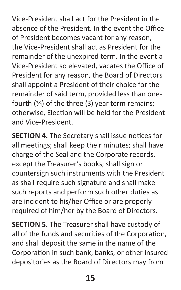Vice-President shall act for the President in the absence of the President. In the event the Office of President becomes vacant for any reason, the Vice-President shall act as President for the remainder of the unexpired term. In the event a Vice-President so elevated, vacates the Office of President for any reason, the Board of Directors shall appoint a President of their choice for the remainder of said term, provided less than onefourth  $(1/4)$  of the three (3) year term remains; otherwise, Election will be held for the President and Vice-President.

**SECTION 4.** The Secretary shall issue notices for all meetings; shall keep their minutes; shall have charge of the Seal and the Corporate records, except the Treasurer's books; shall sign or countersign such instruments with the President as shall require such signature and shall make such reports and perform such other duties as are incident to his/her Office or are properly required of him/her by the Board of Directors.

**SECTION 5.** The Treasurer shall have custody of all of the funds and securities of the Corporation, and shall deposit the same in the name of the Corporation in such bank, banks, or other insured depositories as the Board of Directors may from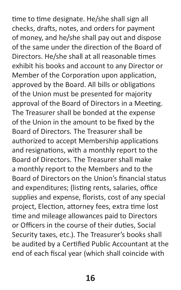time to time designate. He/she shall sign all checks, drafts, notes, and orders for payment of money, and he/she shall pay out and dispose of the same under the direction of the Board of Directors. He/she shall at all reasonable times exhibit his books and account to any Director or Member of the Corporation upon application, approved by the Board. All bills or obligations of the Union must be presented for majority approval of the Board of Directors in a Meeting. The Treasurer shall be bonded at the expense of the Union in the amount to be fixed by the Board of Directors. The Treasurer shall be authorized to accept Membership applications and resignations, with a monthly report to the Board of Directors. The Treasurer shall make a monthly report to the Members and to the Board of Directors on the Union's financial status and expenditures; (listing rents, salaries, office supplies and expense, florists, cost of any special project, Election, attorney fees, extra time lost time and mileage allowances paid to Directors or Officers in the course of their duties, Social Security taxes, etc.). The Treasurer's books shall be audited by a Certified Public Accountant at the end of each fiscal year (which shall coincide with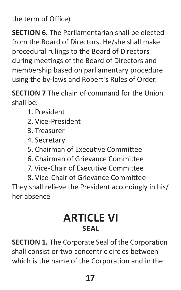the term of Office).

**SECTION 6.** The Parliamentarian shall be elected from the Board of Directors. He/she shall make procedural rulings to the Board of Directors during meetings of the Board of Directors and membership based on parliamentary procedure using the by-laws and Robert's Rules of Order.

**SECTION 7** The chain of command for the Union shall be:

- 1. President
- 2. Vice-President
- 3. Treasurer
- 4. Secretary
- 5. Chairman of Executive Committee
- 6. Chairman of Grievance Committee
- 7. Vice-Chair of Executive Committee

8. Vice-Chair of Grievance Committee They shall relieve the President accordingly in his/ her absence

### **ARTICLE VI SEAL**

**SECTION 1.** The Corporate Seal of the Corporation shall consist or two concentric circles between which is the name of the Corporation and in the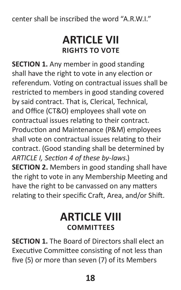center shall be inscribed the word "A.R.W.I."

#### **ARTICLE VII RIGHTS TO VOTE**

**SECTION 1.** Any member in good standing shall have the right to vote in any election or referendum. Voting on contractual issues shall be restricted to members in good standing covered by said contract. That is, Clerical, Technical, and Office (CT&O) employees shall vote on contractual issues relating to their contract. Production and Maintenance (P&M) employees shall vote on contractual issues relating to their contract. (Good standing shall be determined by *ARTICLE I, Section 4 of these by-laws*.) **SECTION 2.** Members in good standing shall have the right to vote in any Membership Meeting and have the right to be canvassed on any matters relating to their specific Craft, Area, and/or Shift.

# **ARTICLE VIII COMMITTEES**

**SECTION 1.** The Board of Directors shall elect an Executive Committee consisting of not less than five (5) or more than seven (7) of its Members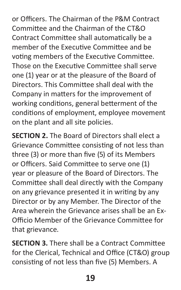or Officers. The Chairman of the P&M Contract Committee and the Chairman of the CT&O Contract Committee shall automatically be a member of the Executive Committee and be voting members of the Executive Committee. Those on the Executive Committee shall serve one (1) year or at the pleasure of the Board of Directors. This Committee shall deal with the Company in matters for the improvement of working conditions, general betterment of the conditions of employment, employee movement on the plant and all site policies.

**SECTION 2.** The Board of Directors shall elect a Grievance Committee consisting of not less than three (3) or more than five (5) of its Members or Officers. Said Committee to serve one (1) year or pleasure of the Board of Directors. The Committee shall deal directly with the Company on any grievance presented it in writing by any Director or by any Member. The Director of the Area wherein the Grievance arises shall be an Ex-Officio Member of the Grievance Committee for that grievance.

**SECTION 3.** There shall be a Contract Committee for the Clerical, Technical and Office (CT&O) group consisting of not less than five (5) Members. A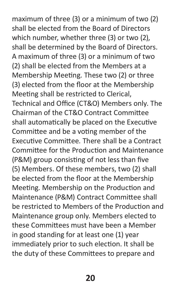maximum of three (3) or a minimum of two (2) shall be elected from the Board of Directors which number, whether three (3) or two (2), shall be determined by the Board of Directors. A maximum of three (3) or a minimum of two (2) shall be elected from the Members at a Membership Meeting. These two (2) or three (3) elected from the floor at the Membership Meeting shall be restricted to Clerical, Technical and Office (CT&O) Members only. The Chairman of the CT&O Contract Committee shall automatically be placed on the Executive Committee and be a voting member of the Executive Committee. There shall be a Contract Committee for the Production and Maintenance (P&M) group consisting of not less than five (5) Members. Of these members, two (2) shall be elected from the floor at the Membership Meeting. Membership on the Production and Maintenance (P&M) Contract Committee shall be restricted to Members of the Production and Maintenance group only. Members elected to these Committees must have been a Member in good standing for at least one (1) year immediately prior to such election. It shall be the duty of these Committees to prepare and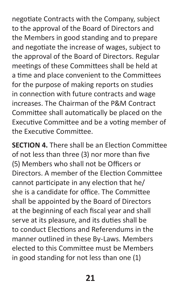negotiate Contracts with the Company, subject to the approval of the Board of Directors and the Members in good standing and to prepare and negotiate the increase of wages, subject to the approval of the Board of Directors. Regular meetings of these Committees shall be held at a time and place convenient to the Committees for the purpose of making reports on studies in connection with future contracts and wage increases. The Chairman of the P&M Contract Committee shall automatically be placed on the Executive Committee and be a voting member of the Executive Committee.

**SECTION 4.** There shall be an Election Committee of not less than three (3) nor more than five (5) Members who shall not be Officers or Directors. A member of the Election Committee cannot participate in any election that he/ she is a candidate for office. The Committee shall be appointed by the Board of Directors at the beginning of each fiscal year and shall serve at its pleasure, and its duties shall be to conduct Elections and Referendums in the manner outlined in these By-Laws. Members elected to this Committee must be Members in good standing for not less than one (1)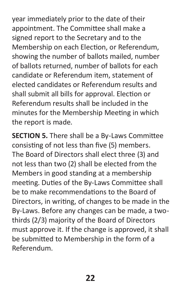year immediately prior to the date of their appointment. The Committee shall make a signed report to the Secretary and to the Membership on each Election, or Referendum, showing the number of ballots mailed, number of ballots returned, number of ballots for each candidate or Referendum item, statement of elected candidates or Referendum results and shall submit all bills for approval. Election or Referendum results shall be included in the minutes for the Membership Meeting in which the report is made.

**SECTION 5.** There shall be a By-Laws Committee consisting of not less than five (5) members. The Board of Directors shall elect three (3) and not less than two (2) shall be elected from the Members in good standing at a membership meeting. Duties of the By-Laws Committee shall be to make recommendations to the Board of Directors, in writing, of changes to be made in the By-Laws. Before any changes can be made, a twothirds (2/3) majority of the Board of Directors must approve it. If the change is approved, it shall be submitted to Membership in the form of a Referendum.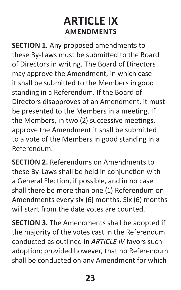# **ARTICLE IX AMENDMENTS**

**SECTION 1.** Any proposed amendments to these By-Laws must be submitted to the Board of Directors in writing. The Board of Directors may approve the Amendment, in which case it shall be submitted to the Members in good standing in a Referendum. If the Board of Directors disapproves of an Amendment, it must be presented to the Members in a meeting. If the Members, in two (2) successive meetings, approve the Amendment it shall be submitted to a vote of the Members in good standing in a Referendum.

**SECTION 2.** Referendums on Amendments to these By-Laws shall be held in conjunction with a General Election, if possible, and in no case shall there be more than one (1) Referendum on Amendments every six (6) months. Six (6) months will start from the date votes are counted.

**SECTION 3.** The Amendments shall be adopted if the majority of the votes cast in the Referendum conducted as outlined in *ARTICLE IV* favors such adoption; provided however, that no Referendum shall be conducted on any Amendment for which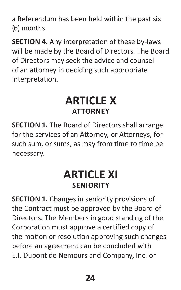a Referendum has been held within the past six (6) months.

**SECTION 4.** Any interpretation of these by-laws will be made by the Board of Directors. The Board of Directors may seek the advice and counsel of an attorney in deciding such appropriate interpretation.

#### **ARTICLE X ATTORNEY**

**SECTION 1.** The Board of Directors shall arrange for the services of an Attorney, or Attorneys, for such sum, or sums, as may from time to time be necessary.

# **ARTICLE XI SENIORITY**

**SECTION 1.** Changes in seniority provisions of the Contract must be approved by the Board of Directors. The Members in good standing of the Corporation must approve a certified copy of the motion or resolution approving such changes before an agreement can be concluded with E.I. Dupont de Nemours and Company, Inc. or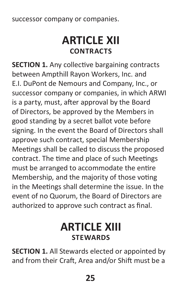successor company or companies.

#### **ARTICLE XII CONTRACTS**

**SECTION 1.** Any collective bargaining contracts between Ampthill Rayon Workers, Inc. and E.I. DuPont de Nemours and Company, Inc., or successor company or companies, in which ARWI is a party, must, after approval by the Board of Directors, be approved by the Members in good standing by a secret ballot vote before signing. In the event the Board of Directors shall approve such contract, special Membership Meetings shall be called to discuss the proposed contract. The time and place of such Meetings must be arranged to accommodate the entire Membership, and the majority of those voting in the Meetings shall determine the issue. In the event of no Quorum, the Board of Directors are authorized to approve such contract as final.

#### **ARTICLE XIII STEWARDS**

**SECTION 1.** All Stewards elected or appointed by and from their Craft, Area and/or Shift must be a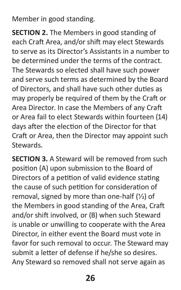Member in good standing.

**SECTION 2.** The Members in good standing of each Craft Area, and/or shift may elect Stewards to serve as its Director's Assistants in a number to be determined under the terms of the contract. The Stewards so elected shall have such power and serve such terms as determined by the Board of Directors, and shall have such other duties as may properly be required of them by the Craft or Area Director. In case the Members of any Craft or Area fail to elect Stewards within fourteen (14) days after the election of the Director for that Craft or Area, then the Director may appoint such Stewards.

**SECTION 3.** A Steward will be removed from such position (A) upon submission to the Board of Directors of a petition of valid evidence stating the cause of such petition for consideration of removal, signed by more than one-half  $(\frac{1}{2})$  of the Members in good standing of the Area, Craft and/or shift involved, or (B) when such Steward is unable or unwilling to cooperate with the Area Director, in either event the Board must vote in favor for such removal to occur. The Steward may submit a letter of defense if he/she so desires. Any Steward so removed shall not serve again as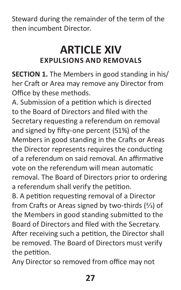Steward during the remainder of the term of the then incumbent Director.

# **ARTICLE XIV EXPULSIONS AND REMOVALS**

**SECTION 1.** The Members in good standing in his/ her Craft or Area may remove any Director from Office by these methods.

A. Submission of a petition which is directed to the Board of Directors and filed with the Secretary requesting a referendum on removal and signed by fifty-one percent (51%) of the Members in good standing in the Crafts or Areas the Director represents requires the conducting of a referendum on said removal. An affirmative vote on the referendum will mean automatic removal. The Board of Directors prior to ordering a referendum shall verify the petition.

B. A petition requesting removal of a Director from Crafts or Areas signed by two-thirds  $(2/3)$  of the Members in good standing submitted to the Board of Directors and filed with the Secretary. After receiving such a petition, the Director shall be removed. The Board of Directors must verify the petition.

Any Director so removed from office may not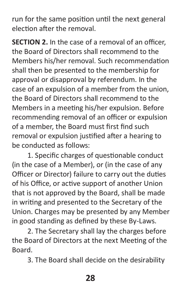run for the same position until the next general election after the removal.

**SECTION 2.** In the case of a removal of an officer, the Board of Directors shall recommend to the Members his/her removal. Such recommendation shall then be presented to the membership for approval or disapproval by referendum. In the case of an expulsion of a member from the union, the Board of Directors shall recommend to the Members in a meeting his/her expulsion. Before recommending removal of an officer or expulsion of a member, the Board must first find such removal or expulsion justified after a hearing to be conducted as follows:

1. Specific charges of questionable conduct (in the case of a Member), or (in the case of any Officer or Director) failure to carry out the duties of his Office, or active support of another Union that is not approved by the Board, shall be made in writing and presented to the Secretary of the Union. Charges may be presented by any Member in good standing as defined by these By-Laws.

2. The Secretary shall lay the charges before the Board of Directors at the next Meeting of the Board.

3. The Board shall decide on the desirability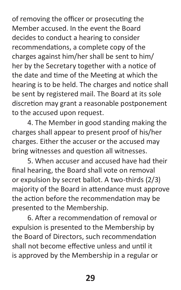of removing the officer or prosecuting the Member accused. In the event the Board decides to conduct a hearing to consider recommendations, a complete copy of the charges against him/her shall be sent to him/ her by the Secretary together with a notice of the date and time of the Meeting at which the hearing is to be held. The charges and notice shall be sent by registered mail. The Board at its sole discretion may grant a reasonable postponement to the accused upon request.

4. The Member in good standing making the charges shall appear to present proof of his/her charges. Either the accuser or the accused may bring witnesses and question all witnesses.

5. When accuser and accused have had their final hearing, the Board shall vote on removal or expulsion by secret ballot. A two-thirds (2/3) majority of the Board in attendance must approve the action before the recommendation may be presented to the Membership.

6. After a recommendation of removal or expulsion is presented to the Membership by the Board of Directors, such recommendation shall not become effective unless and until it is approved by the Membership in a regular or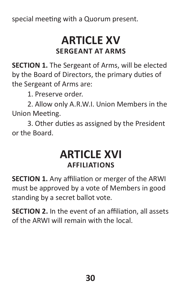special meeting with a Quorum present.

#### **ARTICLE XV SERGEANT AT ARMS**

**SECTION 1.** The Sergeant of Arms, will be elected by the Board of Directors, the primary duties of the Sergeant of Arms are:

1. Preserve order.

2. Allow only A.R.W.I. Union Members in the Union Meeting.

3. Other duties as assigned by the President or the Board.

#### **ARTICLE XVI AFFILIATIONS**

**SECTION 1.** Any affiliation or merger of the ARWI must be approved by a vote of Members in good standing by a secret ballot vote.

**SECTION 2.** In the event of an affiliation, all assets of the ARWI will remain with the local.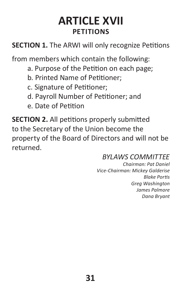# **ARTICLE XVII PETITIONS**

**SECTION 1.** The ARWI will only recognize Petitions

from members which contain the following:

- a. Purpose of the Petition on each page;
- b. Printed Name of Petitioner;
- c. Signature of Petitioner;
- d. Payroll Number of Petitioner; and
- e. Date of Petition

**SECTION 2.** All petitions properly submitted to the Secretary of the Union become the property of the Board of Directors and will not be returned.

#### *BYLAWS COMMITTEE*

*Chairman: Pat Daniel Vice-Chairman: Mickey Galderise Blake Portis Greg Washington James Palmore Dana Bryant*